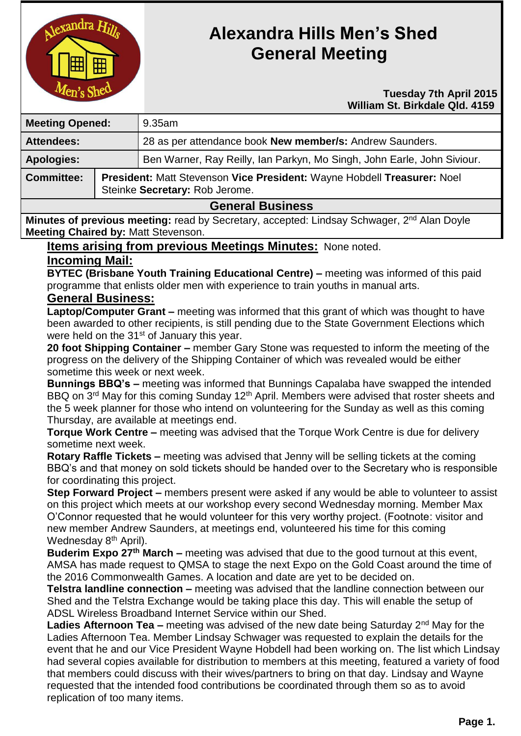

# **Alexandra Hills Men's Shed General Meeting**

#### **Tuesday 7th April 2015 William St. Birkdale Qld. 4159**

| <b>Meeting Opened:</b>     |                                                                                                           | $9.35$ am                                                               |
|----------------------------|-----------------------------------------------------------------------------------------------------------|-------------------------------------------------------------------------|
| <b>Attendees:</b>          |                                                                                                           | 28 as per attendance book New member/s: Andrew Saunders.                |
| <b>Apologies:</b>          |                                                                                                           | Ben Warner, Ray Reilly, Ian Parkyn, Mo Singh, John Earle, John Siviour. |
| <b>Committee:</b>          | President: Matt Stevenson Vice President: Wayne Hobdell Treasurer: Noel<br>Steinke Secretary: Rob Jerome. |                                                                         |
| <b>CAMAVAL DUALISATION</b> |                                                                                                           |                                                                         |

#### **General Business**

**Minutes of previous meeting:** read by Secretary, accepted: Lindsay Schwager, 2<sup>nd</sup> Alan Doyle **Meeting Chaired by:** Matt Stevenson.

# **Items arising from previous Meetings Minutes:** None noted.

# **Incoming Mail:**

**BYTEC (Brisbane Youth Training Educational Centre) –** meeting was informed of this paid programme that enlists older men with experience to train youths in manual arts.

# **General Business:**

**Laptop/Computer Grant –** meeting was informed that this grant of which was thought to have been awarded to other recipients, is still pending due to the State Government Elections which were held on the 31<sup>st</sup> of January this year.

**20 foot Shipping Container –** member Gary Stone was requested to inform the meeting of the progress on the delivery of the Shipping Container of which was revealed would be either sometime this week or next week.

**Bunnings BBQ's –** meeting was informed that Bunnings Capalaba have swapped the intended BBQ on 3<sup>rd</sup> May for this coming Sunday 12<sup>th</sup> April. Members were advised that roster sheets and the 5 week planner for those who intend on volunteering for the Sunday as well as this coming Thursday, are available at meetings end.

**Torque Work Centre –** meeting was advised that the Torque Work Centre is due for delivery sometime next week.

**Rotary Raffle Tickets –** meeting was advised that Jenny will be selling tickets at the coming BBQ's and that money on sold tickets should be handed over to the Secretary who is responsible for coordinating this project.

**Step Forward Project –** members present were asked if any would be able to volunteer to assist on this project which meets at our workshop every second Wednesday morning. Member Max O'Connor requested that he would volunteer for this very worthy project. (Footnote: visitor and new member Andrew Saunders, at meetings end, volunteered his time for this coming Wednesday 8<sup>th</sup> April).

**Buderim Expo 27th March –** meeting was advised that due to the good turnout at this event, AMSA has made request to QMSA to stage the next Expo on the Gold Coast around the time of the 2016 Commonwealth Games. A location and date are yet to be decided on.

**Telstra landline connection –** meeting was advised that the landline connection between our Shed and the Telstra Exchange would be taking place this day. This will enable the setup of ADSL Wireless Broadband Internet Service within our Shed.

**Ladies Afternoon Tea –** meeting was advised of the new date being Saturday 2<sup>nd</sup> May for the Ladies Afternoon Tea. Member Lindsay Schwager was requested to explain the details for the event that he and our Vice President Wayne Hobdell had been working on. The list which Lindsay had several copies available for distribution to members at this meeting, featured a variety of food that members could discuss with their wives/partners to bring on that day. Lindsay and Wayne requested that the intended food contributions be coordinated through them so as to avoid replication of too many items.